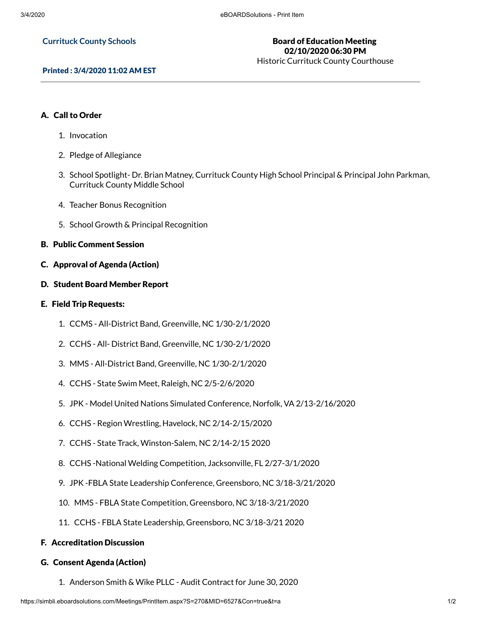#### **Currituck County Schools**

# Board of Education Meeting 02/10/2020 06:30 PM

Historic Currituck County Courthouse

## Printed : 3/4/2020 11:02 AM EST

## A. Call to Order

- 1. Invocation
- 2. Pledge of Allegiance
- 3. School Spotlight- Dr. Brian Matney, Currituck County High School Principal & Principal John Parkman, Currituck County Middle School
- 4. Teacher Bonus Recognition
- 5. School Growth & Principal Recognition

## B. Public Comment Session

- C. Approval of Agenda (Action)
- D. Student Board Member Report

## E. Field Trip Requests:

- 1. CCMS All-District Band, Greenville, NC 1/30-2/1/2020
- 2. CCHS All- District Band, Greenville, NC 1/30-2/1/2020
- 3. MMS All-District Band, Greenville, NC 1/30-2/1/2020
- 4. CCHS State Swim Meet, Raleigh, NC 2/5-2/6/2020
- 5. JPK Model United Nations Simulated Conference, Norfolk, VA 2/13-2/16/2020
- 6. CCHS Region Wrestling, Havelock, NC 2/14-2/15/2020
- 7. CCHS State Track, Winston-Salem, NC 2/14-2/15 2020
- 8. CCHS -National Welding Competition, Jacksonville, FL 2/27-3/1/2020
- 9. JPK -FBLA State Leadership Conference, Greensboro, NC 3/18-3/21/2020
- 10. MMS FBLA State Competition, Greensboro, NC 3/18-3/21/2020
- 11. CCHS FBLA State Leadership, Greensboro, NC 3/18-3/21 2020

## F. Accreditation Discussion

## G. Consent Agenda (Action)

1. Anderson Smith & Wike PLLC - Audit Contract for June 30, 2020